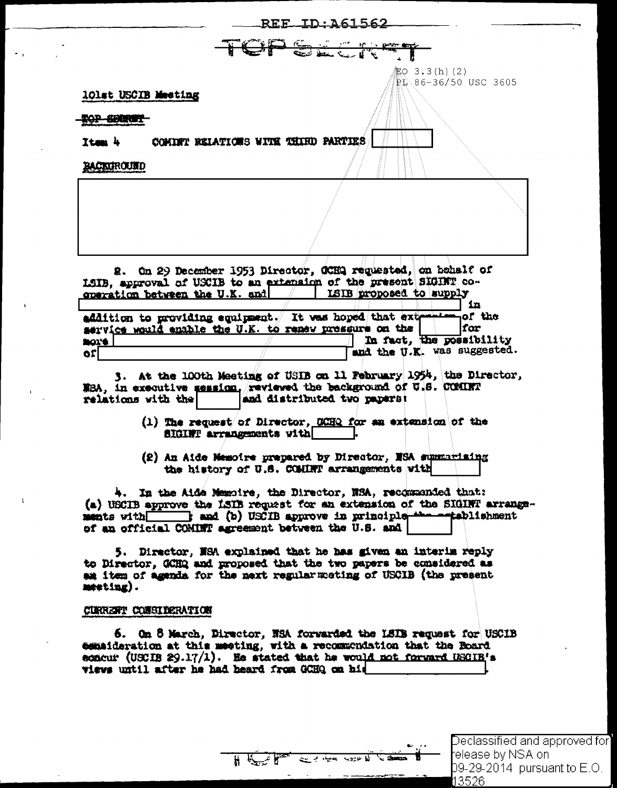|                                                                               |                                     | REE ID: 161562                                                                                                                |                                             |
|-------------------------------------------------------------------------------|-------------------------------------|-------------------------------------------------------------------------------------------------------------------------------|---------------------------------------------|
|                                                                               |                                     | TCF SACT                                                                                                                      |                                             |
| 10lst USCIB Meeting<br><del>OP SERINT</del>                                   |                                     |                                                                                                                               | <b>起O 3.3(h)(2)</b><br>PL 86-36/50 USC 3605 |
| Itam 4                                                                        | COMINT RELATIONS WITH THIRD PARTIES |                                                                                                                               |                                             |
| BACKUROUND                                                                    |                                     |                                                                                                                               |                                             |
|                                                                               |                                     |                                                                                                                               |                                             |
|                                                                               |                                     |                                                                                                                               |                                             |
|                                                                               |                                     |                                                                                                                               |                                             |
|                                                                               |                                     |                                                                                                                               |                                             |
|                                                                               |                                     |                                                                                                                               |                                             |
|                                                                               |                                     |                                                                                                                               |                                             |
|                                                                               |                                     | 2. On 29 December 1953 Director, OCHQ requested, on behalf of                                                                 |                                             |
|                                                                               |                                     | LSIB, approval of USCIB to an extension of the present SIGINT co-<br>ISIB proposed to supply                                  |                                             |
|                                                                               |                                     |                                                                                                                               | <b>in</b>                                   |
|                                                                               |                                     | addition to providing equipment. It was hoped that extension of the<br>service would enable the U.K. to renew pressure on the | lfar                                        |
|                                                                               |                                     |                                                                                                                               | In fact, the possibility                    |
|                                                                               |                                     |                                                                                                                               | and the U.K. was suggested.                 |
|                                                                               |                                     | 3. At the 100th Meeting of USIB on 11 February 1954, the Director,                                                            |                                             |
|                                                                               |                                     | NBA, in executive session, reviewed the background of U.S. COMINT                                                             |                                             |
|                                                                               |                                     | and distributed two papers:                                                                                                   |                                             |
| contration between the U.K. and<br><b>BOX'S</b><br>orl.<br>relations with the | SIGINT arrangements with            | (1) The request of Director, GCHQ for an extension of the                                                                     |                                             |

4. In the Aide Memoire, the Director, NSA, recommended that: (a) USCIB approve the LSIB request for an extension of the SIGINT arrangements with smd (b) USCIB approve in principle the establishment of an official COMINT agreement between the U.S. and

5. Director, NSA explained that he has given an interim reply to Director, GCHQ and proposed that the two papers be considered as am item of agenda for the next regular meting of USCIB (the present  $m$ eting).

## CURRENT CONSIDERATION

6. On 8 March, Director, NSA forwarded the LSIB request for USCIB commideration at this meeting, with a recommondation that the Roard acacur (USCIB 29.17/1). He stated that he would not forward USCIB's wiews until after he had heard from GCHQ on hid

للاعتدية بمجمع منهته للم

् उन्

 $\mathbb{R}$   $\mathbb{R}$ 

Declassified and approved for] felease by NSA onl 09-29-2014 pursuant to E.O. 13526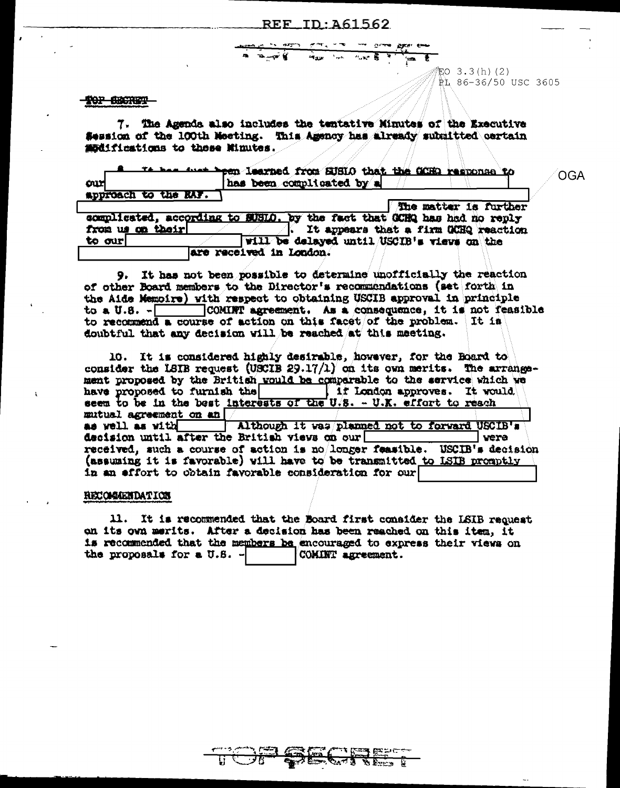EO  $3.3(h)$  (2)

PL 86-36/50 USC 3605

## TOP BECKET

7. The Agenda also includes the tentative Minutes of the Executive Session of the 100th Meeting. This Agency has already submitted certain modifications to these Minutes.

|                      | It has just been learned from SUSIO that the GORD regnonse to<br>OGA    |
|----------------------|-------------------------------------------------------------------------|
| our                  | has been complicated by a                                               |
| approach to the RAF. |                                                                         |
|                      | The matter is further                                                   |
|                      | complicated, according to SUSID. by the fact that GCHQ has had no reply |
| from us on their     | It appears that a firm GCHQ reaction                                    |
| to our               | Will be delayed until USCIB's views on the                              |
|                      | are received in London.                                                 |

9. It has not been possible to determine unofficially the reaction of other Board members to the Director's recommendations (set forth in the Aide Memoire) with respect to obtaining USCIB approval in principle to a U.S. - COMINT agreement. As a consequence, it is not reasible to recommend a course of action on this facet/of the problem. It is doubtful that any decision will be reached at this meeting.

| 10. It is considered highly desirable, however, for the Board to<br>consider the LSIB request (USCIB 29.17/1) on its own merits. The arrange- |  |      |
|-----------------------------------------------------------------------------------------------------------------------------------------------|--|------|
| ment proposed by the British would be comparable to the service which we                                                                      |  |      |
| have proposed to furnish the $\vert$ if london approves. It would                                                                             |  |      |
| seem to be in the best interests of the U.S. - U.K. effort to reach                                                                           |  |      |
| mutual agreement on an!                                                                                                                       |  |      |
| as well as with (Although it was planned not to forward USCIB's                                                                               |  |      |
| decision until after the British views on our                                                                                                 |  | vera |
| received, such a course of action is no/longer feasible. USCIB's decision                                                                     |  |      |
| (assuming it is favorable) will have to be transmitted to LSIB promptly                                                                       |  |      |
| in an effort to obtain favorable consideration for our                                                                                        |  |      |

## RECOMMENDATION

11. It is recommended that the Board first consider the ISIB request on its own merits. After a decision has been reached on this item, it is recommended that the members be encouraged to express their views on the proposals for a U.S. -COMINT agreement.